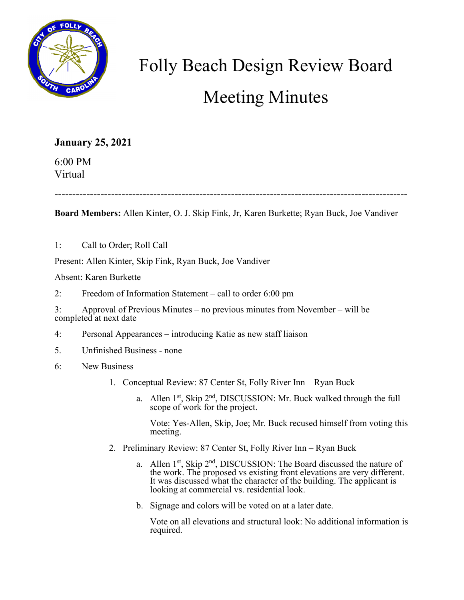

## Folly Beach Design Review Board Meeting Minutes

**January 25, 2021**

6:00 PM Virtual

----------------------------------------------------------------------------------------------------

**Board Members:** Allen Kinter, O. J. Skip Fink, Jr, Karen Burkette; Ryan Buck, Joe Vandiver

1: Call to Order; Roll Call

Present: Allen Kinter, Skip Fink, Ryan Buck, Joe Vandiver

Absent: Karen Burkette

2: Freedom of Information Statement – call to order 6:00 pm

3: Approval of Previous Minutes – no previous minutes from November – will be completed at next date

- 4: Personal Appearances introducing Katie as new staff liaison
- 5. Unfinished Business none
- 6: New Business
	- 1. Conceptual Review: 87 Center St, Folly River Inn Ryan Buck
		- a. Allen  $1^{st}$ , Skip  $2^{nd}$ , DISCUSSION: Mr. Buck walked through the full scope of work for the project.

Vote: Yes-Allen, Skip, Joe; Mr. Buck recused himself from voting this meeting.

- 2. Preliminary Review: 87 Center St, Folly River Inn Ryan Buck
	- a. Allen  $1^{st}$ , Skip  $2^{nd}$ , DISCUSSION: The Board discussed the nature of the work. The proposed vs existing front elevations are very different. It was discussed what the character of the building. The applicant is looking at commercial vs. residential look.
	- b. Signage and colors will be voted on at a later date.

Vote on all elevations and structural look: No additional information is required.